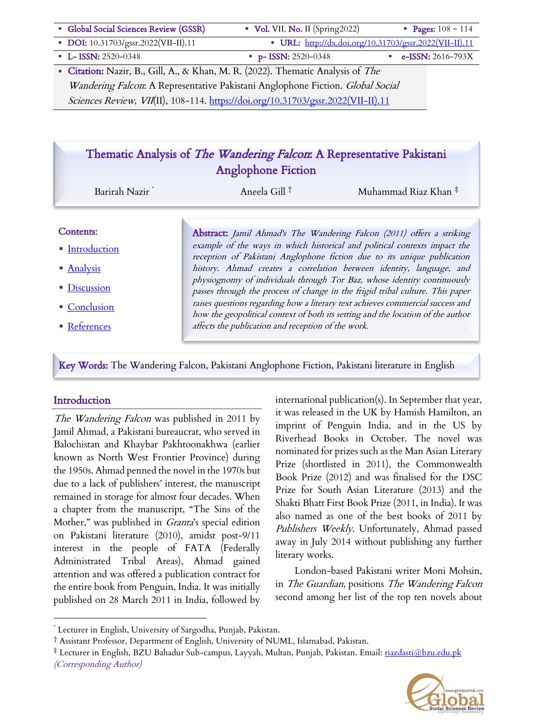| • Global Social Sciences Review (GSSR)                                        | $\bullet$ Vol. VII, No. II (Spring 2022)                                                                                                                                                                                                                                                                                          | • Pages: $108 - 114$ |
|-------------------------------------------------------------------------------|-----------------------------------------------------------------------------------------------------------------------------------------------------------------------------------------------------------------------------------------------------------------------------------------------------------------------------------|----------------------|
| • DOI: 10.31703/gssr.2022(VII-II).11                                          | • URL: http://dx.doi.org/10.31703/gssr.2022(VII-II).11                                                                                                                                                                                                                                                                            |                      |
| $-L-$ ISSN: 2520-0348                                                         | $p-$ ISSN: 2520-0348                                                                                                                                                                                                                                                                                                              | e-ISSN: $2616-793X$  |
| $Q_1$ $\cdots$ $M_1$ $\cdots$ $Q_1$ $Q_2$ $M_1$ $\cdots$ $Q_1$ $M_2$ $\cdots$ | $\mathbf{1} \in \mathbb{R}$ (2022) $\mathbb{R}^1$ $\mathbb{R}$ $\mathbb{R}$ $\mathbb{R}$ $\mathbb{R}$ $\mathbb{R}$ $\mathbb{R}$ $\mathbb{R}$ $\mathbb{R}$ $\mathbb{R}$ $\mathbb{R}$ $\mathbb{R}$ $\mathbb{R}$ $\mathbb{R}$ $\mathbb{R}$ $\mathbb{R}$ $\mathbb{R}$ $\mathbb{R}$ $\mathbb{R}$ $\mathbb{R}$ $\mathbb{R}$ $\mathbb{R$ |                      |

• Citation: Nazir, B., Gill, A., & Khan, M. R. (2022). Thematic Analysis of The Wandering Falcon: A Representative Pakistani Anglophone Fiction. Global Social Sciences Review, VII(II), 108-114. https://doi.org/10.31703/gssr.2022(VII-II).11

# Thematic Analysis of The Wandering Falcon: A Representative Pakistani Anglophone Fiction

Barirah Nazir \* Aneela Gill † Muhammad Riaz Khan ‡

#### Contents:

- Introduction
- Analysis
- Discussion
- Conclusion
- References

Abstract: Jamil Ahmad's The Wandering Falcon (2011) offers a striking example of the ways in which historical and political contexts impact the reception of Pakistani Anglophone fiction due to its unique publication history. Ahmad creates a correlation between identity, language, and physiognomy of individuals through Tor Baz, whose identity continuously passes through the process of change in the frigid tribal culture. This paper raises questions regarding how a literary text achieves commercial success and how the geopolitical context of both its setting and the location of the author affects the publication and reception of the work.

Key Words: The Wandering Falcon, Pakistani Anglophone Fiction, Pakistani literature in English

### **Introduction**

The Wandering Falcon was published in 2011 by Jamil Ahmad, a Pakistani bureaucrat, who served in Balochistan and Khaybar Pakhtoonakhwa (earlier known as North West Frontier Province) during the 1950s. Ahmad penned the novel in the 1970s but due to a lack of publishers' interest, the manuscript remained in storage for almost four decades. When a chapter from the manuscript, "The Sins of the Mother," was published in *Granta's* special edition on Pakistani literature (2010), amidst post-9/11 interest in the people of FATA (Federally Administrated Tribal Areas), Ahmad gained attention and was offered a publication contract for the entire book from Penguin, India. It was initially published on 28 March 2011 in India, followed by international publication(s). In September that year, it was released in the UK by Hamish Hamilton, an imprint of Penguin India, and in the US by Riverhead Books in October. The novel was nominated for prizes such as the Man Asian Literary Prize (shortlisted in 2011), the Commonwealth Book Prize (2012) and was finalised for the DSC Prize for South Asian Literature (2013) and the Shakti Bhatt First Book Prize (2011, in India). It was also named as one of the best books of 2011 by Publishers Weekly. Unfortunately, Ahmad passed away in July 2014 without publishing any further literary works.

London-based Pakistani writer Moni Mohsin, in The Guardian, positions The Wandering Falcon second among her list of the top ten novels about

<sup>‡</sup> Lecturer in English, BZU Bahadur Sub-campus, Layyah, Multan, Punjab, Pakistan. Email: riazdasti@bzu.edu.pk (Corresponding Author)



<sup>\*</sup> Lecturer in English, University of Sargodha, Punjab, Pakistan.

<sup>†</sup> Assistant Professor, Department of English, University of NUML, Islamabad, Pakistan.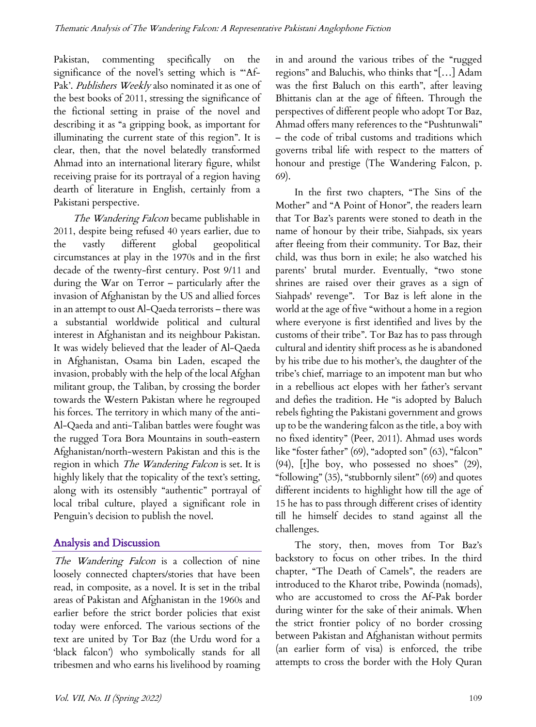Pakistan, commenting specifically on the significance of the novel's setting which is "'Af-Pak'. Publishers Weekly also nominated it as one of the best books of 2011, stressing the significance of the fictional setting in praise of the novel and describing it as "a gripping book, as important for illuminating the current state of this region". It is clear, then, that the novel belatedly transformed Ahmad into an international literary figure, whilst receiving praise for its portrayal of a region having dearth of literature in English, certainly from a Pakistani perspective.

The Wandering Falcon became publishable in 2011, despite being refused 40 years earlier, due to the vastly different global geopolitical circumstances at play in the 1970s and in the first decade of the twenty-first century. Post 9/11 and during the War on Terror – particularly after the invasion of Afghanistan by the US and allied forces in an attempt to oust Al-Qaeda terrorists – there was a substantial worldwide political and cultural interest in Afghanistan and its neighbour Pakistan. It was widely believed that the leader of Al-Qaeda in Afghanistan, Osama bin Laden, escaped the invasion, probably with the help of the local Afghan militant group, the Taliban, by crossing the border towards the Western Pakistan where he regrouped his forces. The territory in which many of the anti-Al-Qaeda and anti-Taliban battles were fought was the rugged Tora Bora Mountains in south-eastern Afghanistan/north-western Pakistan and this is the region in which *The Wandering Falcon* is set. It is highly likely that the topicality of the text's setting, along with its ostensibly "authentic" portrayal of local tribal culture, played a significant role in Penguin's decision to publish the novel.

# Analysis and Discussion

The Wandering Falcon is a collection of nine loosely connected chapters/stories that have been read, in composite, as a novel. It is set in the tribal areas of Pakistan and Afghanistan in the 1960s and earlier before the strict border policies that exist today were enforced. The various sections of the text are united by Tor Baz (the Urdu word for a 'black falcon') who symbolically stands for all tribesmen and who earns his livelihood by roaming in and around the various tribes of the "rugged regions" and Baluchis, who thinks that "[…] Adam was the first Baluch on this earth", after leaving Bhittanis clan at the age of fifteen. Through the perspectives of different people who adopt Tor Baz, Ahmad offers many references to the "Pushtunwali" – the code of tribal customs and traditions which governs tribal life with respect to the matters of honour and prestige (The Wandering Falcon, p. 69).

In the first two chapters, "The Sins of the Mother" and "A Point of Honor", the readers learn that Tor Baz's parents were stoned to death in the name of honour by their tribe, Siahpads, six years after fleeing from their community. Tor Baz, their child, was thus born in exile; he also watched his parents' brutal murder. Eventually, "two stone shrines are raised over their graves as a sign of Siahpads' revenge". Tor Baz is left alone in the world at the age of five "without a home in a region where everyone is first identified and lives by the customs of their tribe". Tor Baz has to pass through cultural and identity shift process as he is abandoned by his tribe due to his mother's, the daughter of the tribe's chief, marriage to an impotent man but who in a rebellious act elopes with her father's servant and defies the tradition. He "is adopted by Baluch rebels fighting the Pakistani government and grows up to be the wandering falcon as the title, a boy with no fixed identity" (Peer, 2011). Ahmad uses words like "foster father" (69), "adopted son" (63), "falcon" (94), [t]he boy, who possessed no shoes" (29), "following" (35), "stubbornly silent" (69) and quotes different incidents to highlight how till the age of 15 he has to pass through different crises of identity till he himself decides to stand against all the challenges.

The story, then, moves from Tor Baz's backstory to focus on other tribes. In the third chapter, "The Death of Camels", the readers are introduced to the Kharot tribe, Powinda (nomads), who are accustomed to cross the Af-Pak border during winter for the sake of their animals. When the strict frontier policy of no border crossing between Pakistan and Afghanistan without permits (an earlier form of visa) is enforced, the tribe attempts to cross the border with the Holy Quran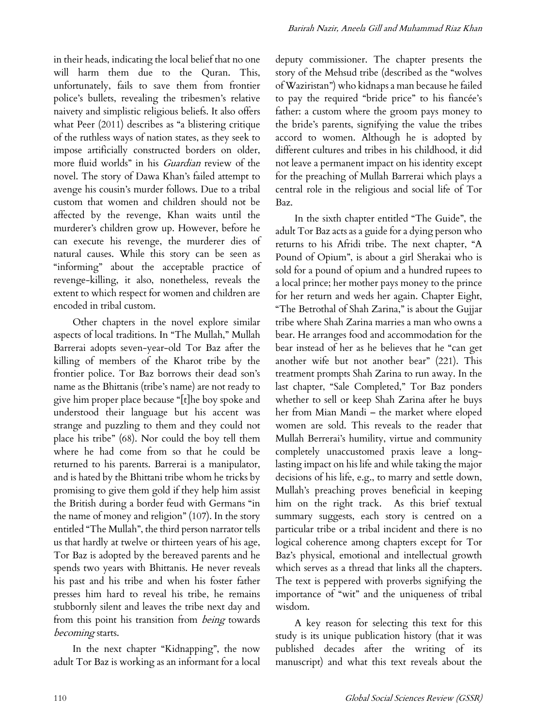in their heads, indicating the local belief that no one will harm them due to the Quran. This, unfortunately, fails to save them from frontier police's bullets, revealing the tribesmen's relative naivety and simplistic religious beliefs. It also offers what Peer (2011) describes as "a blistering critique of the ruthless ways of nation states, as they seek to impose artificially constructed borders on older, more fluid worlds" in his Guardian review of the novel. The story of Dawa Khan's failed attempt to avenge his cousin's murder follows. Due to a tribal custom that women and children should not be affected by the revenge, Khan waits until the murderer's children grow up. However, before he can execute his revenge, the murderer dies of natural causes. While this story can be seen as "informing" about the acceptable practice of revenge-killing, it also, nonetheless, reveals the extent to which respect for women and children are encoded in tribal custom.

Other chapters in the novel explore similar aspects of local traditions. In "The Mullah," Mullah Barrerai adopts seven-year-old Tor Baz after the killing of members of the Kharot tribe by the frontier police. Tor Baz borrows their dead son's name as the Bhittanis (tribe's name) are not ready to give him proper place because "[t]he boy spoke and understood their language but his accent was strange and puzzling to them and they could not place his tribe" (68). Nor could the boy tell them where he had come from so that he could be returned to his parents. Barrerai is a manipulator, and is hated by the Bhittani tribe whom he tricks by promising to give them gold if they help him assist the British during a border feud with Germans "in the name of money and religion" (107). In the story entitled "The Mullah", the third person narrator tells us that hardly at twelve or thirteen years of his age, Tor Baz is adopted by the bereaved parents and he spends two years with Bhittanis. He never reveals his past and his tribe and when his foster father presses him hard to reveal his tribe, he remains stubbornly silent and leaves the tribe next day and from this point his transition from being towards becoming starts.

In the next chapter "Kidnapping", the now adult Tor Baz is working as an informant for a local

deputy commissioner. The chapter presents the story of the Mehsud tribe (described as the "wolves of Waziristan") who kidnaps a man because he failed to pay the required "bride price" to his fiancée's father: a custom where the groom pays money to the bride's parents, signifying the value the tribes accord to women. Although he is adopted by different cultures and tribes in his childhood, it did not leave a permanent impact on his identity except for the preaching of Mullah Barrerai which plays a central role in the religious and social life of Tor Baz.

In the sixth chapter entitled "The Guide", the adult Tor Baz acts as a guide for a dying person who returns to his Afridi tribe. The next chapter, "A Pound of Opium", is about a girl Sherakai who is sold for a pound of opium and a hundred rupees to a local prince; her mother pays money to the prince for her return and weds her again. Chapter Eight, "The Betrothal of Shah Zarina," is about the Gujjar tribe where Shah Zarina marries a man who owns a bear. He arranges food and accommodation for the bear instead of her as he believes that he "can get another wife but not another bear" (221). This treatment prompts Shah Zarina to run away. In the last chapter, "Sale Completed," Tor Baz ponders whether to sell or keep Shah Zarina after he buys her from Mian Mandi – the market where eloped women are sold. This reveals to the reader that Mullah Berrerai's humility, virtue and community completely unaccustomed praxis leave a longlasting impact on his life and while taking the major decisions of his life, e.g., to marry and settle down, Mullah's preaching proves beneficial in keeping him on the right track. As this brief textual summary suggests, each story is centred on a particular tribe or a tribal incident and there is no logical coherence among chapters except for Tor Baz's physical, emotional and intellectual growth which serves as a thread that links all the chapters. The text is peppered with proverbs signifying the importance of "wit" and the uniqueness of tribal wisdom.

A key reason for selecting this text for this study is its unique publication history (that it was published decades after the writing of its manuscript) and what this text reveals about the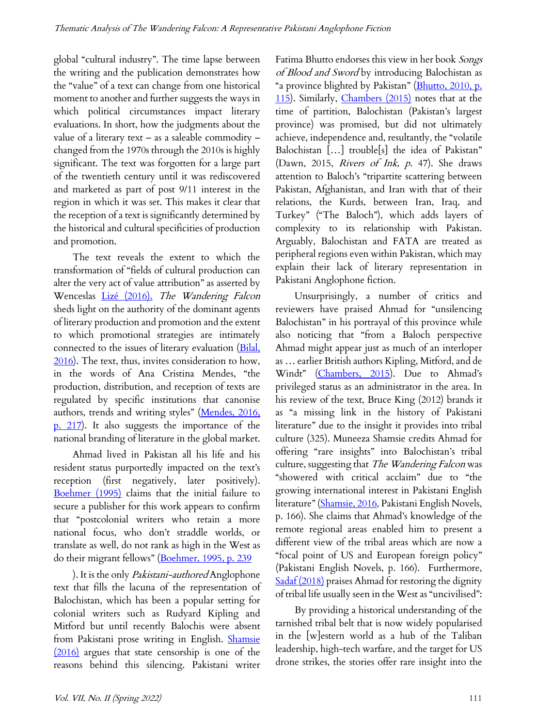global "cultural industry". The time lapse between the writing and the publication demonstrates how the "value" of a text can change from one historical moment to another and further suggests the ways in which political circumstances impact literary evaluations. In short, how the judgments about the value of a literary text – as a saleable commodity – changed from the 1970s through the 2010s is highly significant. The text was forgotten for a large part of the twentieth century until it was rediscovered and marketed as part of post 9/11 interest in the region in which it was set. This makes it clear that the reception of a text is significantly determined by the historical and cultural specificities of production and promotion.

The text reveals the extent to which the transformation of "fields of cultural production can alter the very act of value attribution" as asserted by Wenceslas Lizé (2016). The Wandering Falcon sheds light on the authority of the dominant agents of literary production and promotion and the extent to which promotional strategies are intimately connected to the issues of literary evaluation (Bilal, 2016). The text, thus, invites consideration to how, in the words of Ana Cristina Mendes, "the production, distribution, and reception of texts are regulated by specific institutions that canonise authors, trends and writing styles" (Mendes, 2016, p. 217). It also suggests the importance of the national branding of literature in the global market.

Ahmad lived in Pakistan all his life and his resident status purportedly impacted on the text's reception (first negatively, later positively). Boehmer (1995) claims that the initial failure to secure a publisher for this work appears to confirm that "postcolonial writers who retain a more national focus, who don't straddle worlds, or translate as well, do not rank as high in the West as do their migrant fellows" (Boehmer, 1995, p. 239

). It is the only Pakistani-authored Anglophone text that fills the lacuna of the representation of Balochistan, which has been a popular setting for colonial writers such as Rudyard Kipling and Mitford but until recently Balochis were absent from Pakistani prose writing in English. Shamsie (2016) argues that state censorship is one of the reasons behind this silencing. Pakistani writer

Fatima Bhutto endorses this view in her book Songs of Blood and Sword by introducing Balochistan as "a province blighted by Pakistan" (Bhutto, 2010, p. 115). Similarly, *Chambers (2015)* notes that at the time of partition, Balochistan (Pakistan's largest province) was promised, but did not ultimately achieve, independence and, resultantly, the "volatile Balochistan […] trouble[s] the idea of Pakistan" (Dawn, 2015, Rivers of Ink, p. 47). She draws attention to Baloch's "tripartite scattering between Pakistan, Afghanistan, and Iran with that of their relations, the Kurds, between Iran, Iraq, and Turkey" ("The Baloch"), which adds layers of complexity to its relationship with Pakistan. Arguably, Balochistan and FATA are treated as peripheral regions even within Pakistan, which may explain their lack of literary representation in Pakistani Anglophone fiction.

Unsurprisingly, a number of critics and reviewers have praised Ahmad for "unsilencing Balochistan" in his portrayal of this province while also noticing that "from a Baloch perspective Ahmad might appear just as much of an interloper as … earlier British authors Kipling, Mitford, and de Windt" (Chambers, 2015). Due to Ahmad's privileged status as an administrator in the area. In his review of the text, Bruce King (2012) brands it as "a missing link in the history of Pakistani literature" due to the insight it provides into tribal culture (325). Muneeza Shamsie credits Ahmad for offering "rare insights" into Balochistan's tribal culture, suggesting that The Wandering Falcon was "showered with critical acclaim" due to "the growing international interest in Pakistani English literature" (Shamsie, 2016, Pakistani English Novels, p. 166). She claims that Ahmad's knowledge of the remote regional areas enabled him to present a different view of the tribal areas which are now a "focal point of US and European foreign policy" (Pakistani English Novels, p. 166). Furthermore, Sadaf (2018) praises Ahmad for restoring the dignity of tribal life usually seen in the West as "uncivilised":

By providing a historical understanding of the tarnished tribal belt that is now widely popularised in the [w]estern world as a hub of the Taliban leadership, high-tech warfare, and the target for US drone strikes, the stories offer rare insight into the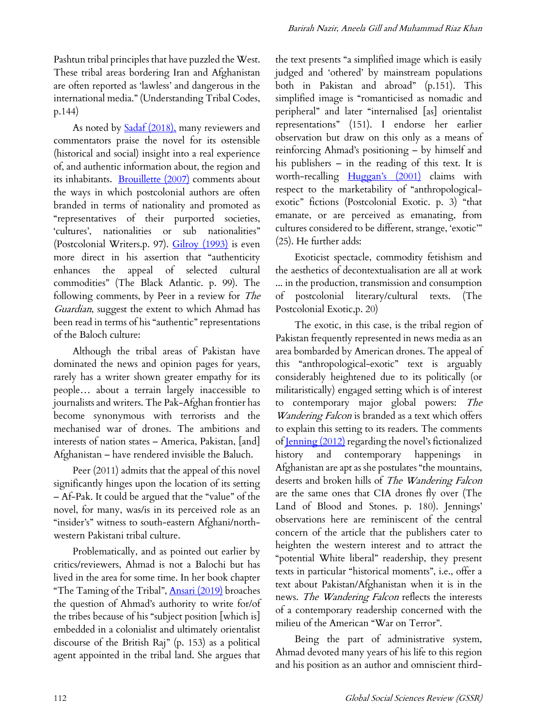Pashtun tribal principles that have puzzled the West. These tribal areas bordering Iran and Afghanistan are often reported as 'lawless' and dangerous in the international media." (Understanding Tribal Codes, p.144)

As noted by **Sadaf** (2018), many reviewers and commentators praise the novel for its ostensible (historical and social) insight into a real experience of, and authentic information about, the region and its inhabitants. Brouillette (2007) comments about the ways in which postcolonial authors are often branded in terms of nationality and promoted as "representatives of their purported societies, 'cultures', nationalities or sub nationalities" (Postcolonial Writers.p. 97). Gilroy (1993) is even more direct in his assertion that "authenticity enhances the appeal of selected cultural commodities" (The Black Atlantic. p. 99). The following comments, by Peer in a review for The Guardian, suggest the extent to which Ahmad has been read in terms of his "authentic" representations of the Baloch culture:

Although the tribal areas of Pakistan have dominated the news and opinion pages for years, rarely has a writer shown greater empathy for its people… about a terrain largely inaccessible to journalists and writers. The Pak-Afghan frontier has become synonymous with terrorists and the mechanised war of drones. The ambitions and interests of nation states – America, Pakistan, [and] Afghanistan – have rendered invisible the Baluch.

Peer (2011) admits that the appeal of this novel significantly hinges upon the location of its setting – Af-Pak. It could be argued that the "value" of the novel, for many, was/is in its perceived role as an "insider's" witness to south-eastern Afghani/northwestern Pakistani tribal culture.

Problematically, and as pointed out earlier by critics/reviewers, Ahmad is not a Balochi but has lived in the area for some time. In her book chapter "The Taming of the Tribal", **Ansari** (2019) broaches the question of Ahmad's authority to write for/of the tribes because of his "subject position [which is] embedded in a colonialist and ultimately orientalist discourse of the British Raj" (p. 153) as a political agent appointed in the tribal land. She argues that

the text presents "a simplified image which is easily judged and 'othered' by mainstream populations both in Pakistan and abroad" (p.151). This simplified image is "romanticised as nomadic and peripheral" and later "internalised [as] orientalist representations" (151). I endorse her earlier observation but draw on this only as a means of reinforcing Ahmad's positioning – by himself and his publishers – in the reading of this text. It is worth-recalling Huggan's (2001) claims with respect to the marketability of "anthropologicalexotic" fictions (Postcolonial Exotic. p. 3) "that emanate, or are perceived as emanating, from cultures considered to be different, strange, 'exotic'" (25). He further adds:

Exoticist spectacle, commodity fetishism and the aesthetics of decontextualisation are all at work ... in the production, transmission and consumption of postcolonial literary/cultural texts. (The Postcolonial Exotic,p. 20)

The exotic, in this case, is the tribal region of Pakistan frequently represented in news media as an area bombarded by American drones. The appeal of this "anthropological-exotic" text is arguably considerably heightened due to its politically (or militaristically) engaged setting which is of interest to contemporary major global powers: The Wandering Falcon is branded as a text which offers to explain this setting to its readers. The comments of Jenning (2012) regarding the novel's fictionalized history and contemporary happenings in Afghanistan are apt as she postulates "the mountains, deserts and broken hills of The Wandering Falcon are the same ones that CIA drones fly over (The Land of Blood and Stones. p. 180). Jennings' observations here are reminiscent of the central concern of the article that the publishers cater to heighten the western interest and to attract the "potential White liberal" readership, they present texts in particular "historical moments", i.e., offer a text about Pakistan/Afghanistan when it is in the news. The Wandering Falcon reflects the interests of a contemporary readership concerned with the milieu of the American "War on Terror".

Being the part of administrative system, Ahmad devoted many years of his life to this region and his position as an author and omniscient third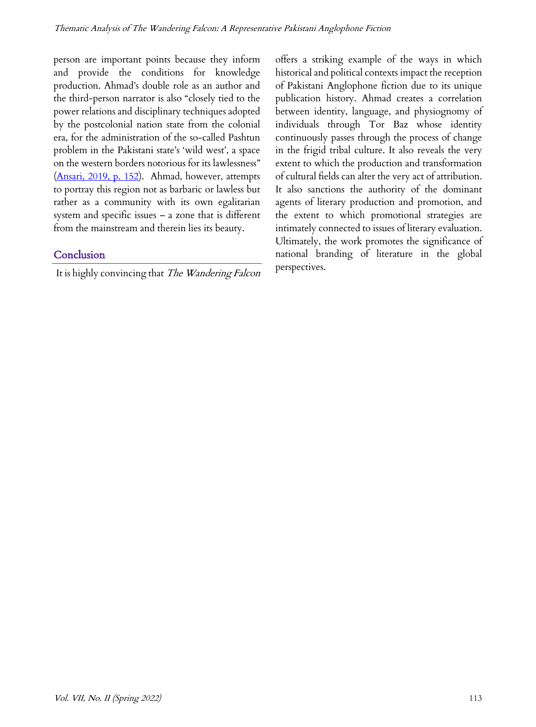person are important points because they inform and provide the conditions for knowledge production. Ahmad's double role as an author and the third-person narrator is also "closely tied to the power relations and disciplinary techniques adopted by the postcolonial nation state from the colonial era, for the administration of the so-called Pashtun problem in the Pakistani state's 'wild west', a space on the western borders notorious for its lawlessness" (Ansari, 2019, p. 152). Ahmad, however, attempts to portray this region not as barbaric or lawless but rather as a community with its own egalitarian system and specific issues – a zone that is different from the mainstream and therein lies its beauty.

## Conclusion

It is highly convincing that The Wandering Falcon

offers a striking example of the ways in which historical and political contexts impact the reception of Pakistani Anglophone fiction due to its unique publication history. Ahmad creates a correlation between identity, language, and physiognomy of individuals through Tor Baz whose identity continuously passes through the process of change in the frigid tribal culture. It also reveals the very extent to which the production and transformation of cultural fields can alter the very act of attribution. It also sanctions the authority of the dominant agents of literary production and promotion, and the extent to which promotional strategies are intimately connected to issues of literary evaluation. Ultimately, the work promotes the significance of national branding of literature in the global perspectives.